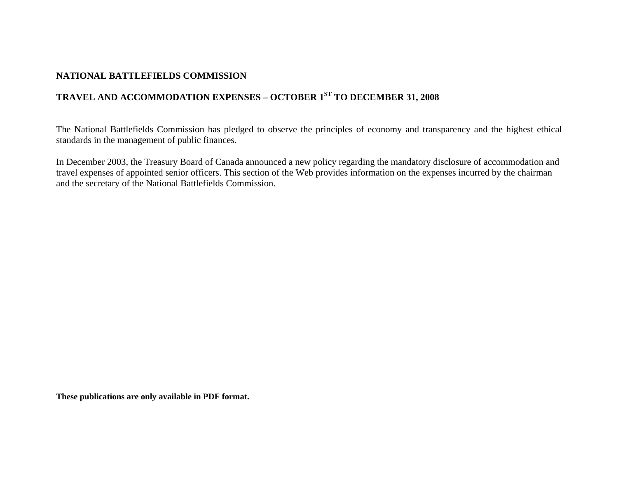## **NATIONAL BATTLEFIELDS COMMISSION**

# **TRAVEL AND ACCOMMODATION EXPENSES – OCTOBER 1ST TO DECEMBER 31, 2008**

The National Battlefields Commission has pledged to observe the principles of economy and transparency and the highest ethical standards in the management of public finances.

In December 2003, the Treasury Board of Canada announced a new policy regarding the mandatory disclosure of accommodation and travel expenses of appointed senior officers. This section of the Web provides information on the expenses incurred by the chairman and the secretary of the National Battlefields Commission.

**These publications are only available in PDF format.**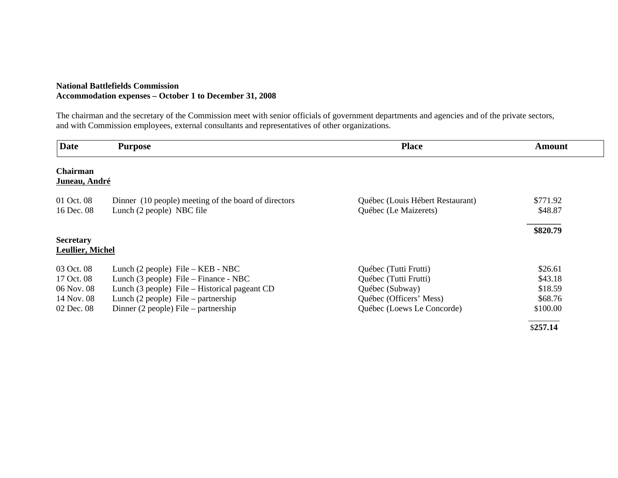### **National Battlefields Commission Accommodation expenses – October 1 to December 31, 2008**

The chairman and the secretary of the Commission meet with senior officials of government departments and agencies and of the private sectors, and with Commission employees, external consultants and representatives of other organizations.

| <b>Date</b>                                                        | <b>Purpose</b>                                                                                                                                                                                                           | <b>Place</b>                                                                                                               | Amount                                               |
|--------------------------------------------------------------------|--------------------------------------------------------------------------------------------------------------------------------------------------------------------------------------------------------------------------|----------------------------------------------------------------------------------------------------------------------------|------------------------------------------------------|
| Chairman<br>Juneau, André                                          |                                                                                                                                                                                                                          |                                                                                                                            |                                                      |
| 01 Oct. 08<br>16 Dec. 08                                           | Dinner (10 people) meeting of the board of directors<br>Lunch (2 people) NBC file                                                                                                                                        | Québec (Louis Hébert Restaurant)<br>Québec (Le Maizerets)                                                                  | \$771.92<br>\$48.87                                  |
| <b>Secretary</b><br><b>Leullier, Michel</b>                        |                                                                                                                                                                                                                          |                                                                                                                            | \$820.79                                             |
| 03 Oct. 08<br>17 Oct. 08<br>06 Nov. 08<br>14 Nov. 08<br>02 Dec. 08 | Lunch $(2$ people) File – KEB - NBC<br>Lunch (3 people) File – Finance - NBC<br>Lunch (3 people) File – Historical pageant CD<br>Lunch $(2$ people) File – partnership<br>Dinner $(2 \text{ people})$ File – partnership | Québec (Tutti Frutti)<br>Québec (Tutti Frutti)<br>Québec (Subway)<br>Québec (Officers' Mess)<br>Québec (Loews Le Concorde) | \$26.61<br>\$43.18<br>\$18.59<br>\$68.76<br>\$100.00 |
|                                                                    |                                                                                                                                                                                                                          |                                                                                                                            | \$257.14                                             |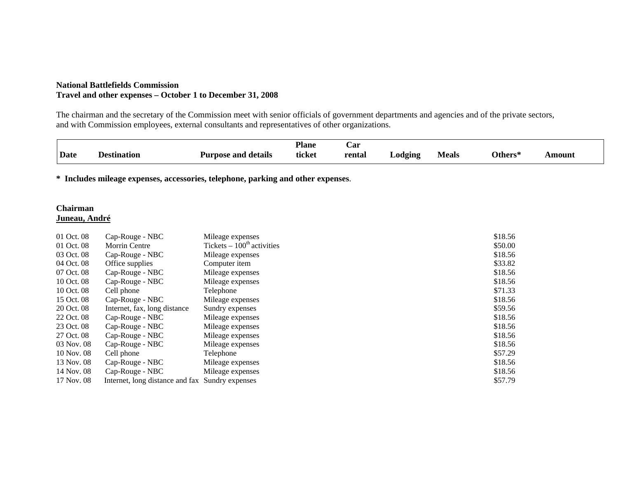### **National Battlefields Commission Travel and other expenses – October 1 to December 31, 2008**

The chairman and the secretary of the Commission meet with senior officials of government departments and agencies and of the private sectors, and with Commission employees, external consultants and representatives of other organizations.

|             |             |                        | <b>Plane</b> | Uar         |         |              |                                 |       |
|-------------|-------------|------------------------|--------------|-------------|---------|--------------|---------------------------------|-------|
| <b>Date</b> | Destination | details<br>Purpose and | ticket       | rental<br>. | _odging | <b>Meals</b> | )thers*<br>$\sim$ $\sim$ $\sim$ | mount |

**\* Includes mileage expenses, accessories, telephone, parking and other expenses**.

### **Chairman Juneau, André**

| 01 Oct. 08 | Cap-Rouge - NBC                                 | Mileage expenses            | \$18.56 |
|------------|-------------------------------------------------|-----------------------------|---------|
| 01 Oct. 08 | <b>Morrin Centre</b>                            | Tickets $-100th$ activities | \$50.00 |
| 03 Oct. 08 | Cap-Rouge - NBC                                 | Mileage expenses            | \$18.56 |
| 04 Oct. 08 | Office supplies                                 | Computer item               | \$33.82 |
| 07 Oct. 08 | Cap-Rouge - NBC                                 | Mileage expenses            | \$18.56 |
| 10 Oct. 08 | Cap-Rouge - NBC                                 | Mileage expenses            | \$18.56 |
| 10 Oct. 08 | Cell phone                                      | Telephone                   | \$71.33 |
| 15 Oct. 08 | Cap-Rouge - NBC                                 | Mileage expenses            | \$18.56 |
| 20 Oct. 08 | Internet, fax, long distance                    | Sundry expenses             | \$59.56 |
| 22 Oct. 08 | Cap-Rouge - NBC                                 | Mileage expenses            | \$18.56 |
| 23 Oct. 08 | Cap-Rouge - NBC                                 | Mileage expenses            | \$18.56 |
| 27 Oct. 08 | Cap-Rouge - NBC                                 | Mileage expenses            | \$18.56 |
| 03 Nov. 08 | Cap-Rouge - NBC                                 | Mileage expenses            | \$18.56 |
| 10 Nov. 08 | Cell phone                                      | Telephone                   | \$57.29 |
| 13 Nov. 08 | Cap-Rouge - NBC                                 | Mileage expenses            | \$18.56 |
| 14 Nov. 08 | Cap-Rouge - NBC                                 | Mileage expenses            | \$18.56 |
| 17 Nov. 08 | Internet, long distance and fax Sundry expenses |                             | \$57.79 |